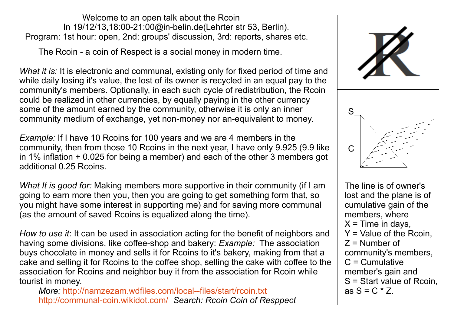Welcome to an open talk about the Rcoin In 19/12/13,18:00-21:00@in-belin.de(Lehrter str 53, Berlin). Program: 1st hour: open, 2nd: groups' discussion, 3rd: reports, shares etc.

The Rcoin - a coin of Respect is a social money in modern time.

*What it is:* It is electronic and communal, existing only for fixed period of time and while daily losing it's value, the lost of its owner is recycled in an equal pay to the community's members. Optionally, in each such cycle of redistribution, the Rcoin could be realized in other currencies, by equally paying in the other currency some of the amount earned by the community, otherwise it is only an inner community medium of exchange, yet non-money nor an-equivalent to money.

*Example:* If I have 10 Rcoins for 100 years and we are 4 members in the community, then from those 10 Rcoins in the next year, I have only 9.925 (9.9 like in 1% inflation + 0.025 for being a member) and each of the other 3 members got additional 0.25 Rcoins.

*What It is good for:* Making members more supportive in their community (if I am going to earn more then you, then you are going to get something form that, so you might have some interest in supporting me) and for saving more communal (as the amount of saved Rcoins is equalized along the time).

*How to use it*: It can be used in association acting for the benefit of neighbors and having some divisions, like coffee-shop and bakery: *Example:* The association buys chocolate in money and sells it for Rcoins to it's bakery, making from that a cake and selling it for Rcoins to the coffee shop, selling the cake with coffee to the association for Rcoins and neighbor buy it from the association for Rcoin while tourist in money.

*More:* <http://namzezam.wdfiles.com/local--files/start/rcoin.txt> <http://communal-coin.wikidot.com/>*Search: Rcoin Coin of Resppect*





The line is of owner's lost and the plane is of cumulative gain of the members, where  $X =$ Time in days,  $Y =$  Value of the Rcoin.  $Z =$  Number of community's members, C = Cumulative member's gain and S = Start value of Rcoin, as  $S = C \times Z$ .